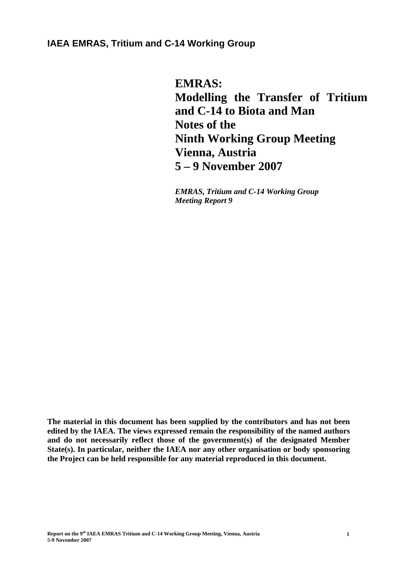# **IAEA EMRAS, Tritium and C-14 Working Group**

**EMRAS: Modelling the Transfer of Tritium and C-14 to Biota and Man Notes of the Ninth Working Group Meeting Vienna, Austria 5 – 9 November 2007** 

*EMRAS, Tritium and C-14 Working Group Meeting Report 9* 

**The material in this document has been supplied by the contributors and has not been edited by the IAEA. The views expressed remain the responsibility of the named authors and do not necessarily reflect those of the government(s) of the designated Member State(s). In particular, neither the IAEA nor any other organisation or body sponsoring the Project can be held responsible for any material reproduced in this document.**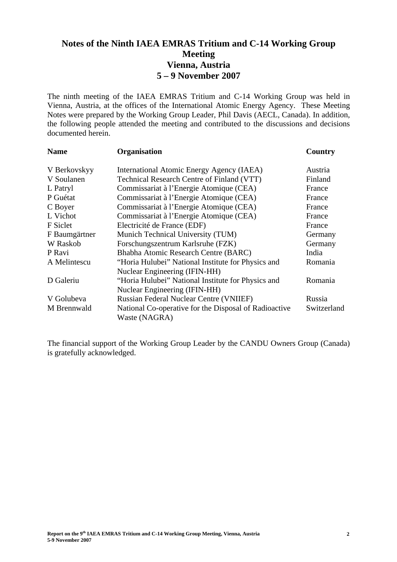# **Notes of the Ninth IAEA EMRAS Tritium and C-14 Working Group Meeting Vienna, Austria 5 – 9 November 2007**

The ninth meeting of the IAEA EMRAS Tritium and C-14 Working Group was held in Vienna, Austria, at the offices of the International Atomic Energy Agency. These Meeting Notes were prepared by the Working Group Leader, Phil Davis (AECL, Canada). In addition, the following people attended the meeting and contributed to the discussions and decisions documented herein.

| <b>Name</b>   | Organisation                                          | Country     |
|---------------|-------------------------------------------------------|-------------|
| V Berkovskyy  | International Atomic Energy Agency (IAEA)             | Austria     |
| V Soulanen    | Technical Research Centre of Finland (VTT)            | Finland     |
| L Patryl      | Commissariat à l'Energie Atomique (CEA)               | France      |
| P Guétat      | Commissariat à l'Energie Atomique (CEA)               | France      |
| C Boyer       | Commissariat à l'Energie Atomique (CEA)               | France      |
| L Vichot      | Commissariat à l'Energie Atomique (CEA)               | France      |
| F Siclet      | Electricité de France (EDF)                           | France      |
| F Baumgärtner | Munich Technical University (TUM)                     | Germany     |
| W Raskob      | Forschungszentrum Karlsruhe (FZK)                     | Germany     |
| P Ravi        | Bhabha Atomic Research Centre (BARC)                  | India       |
| A Melintescu  | "Horia Hulubei" National Institute for Physics and    | Romania     |
|               | Nuclear Engineering (IFIN-HH)                         |             |
| D Galeriu     | "Horia Hulubei" National Institute for Physics and    | Romania     |
|               | Nuclear Engineering (IFIN-HH)                         |             |
| V Golubeva    | <b>Russian Federal Nuclear Centre (VNIIEF)</b>        | Russia      |
| M Brennwald   | National Co-operative for the Disposal of Radioactive | Switzerland |
|               | Waste (NAGRA)                                         |             |

The financial support of the Working Group Leader by the CANDU Owners Group (Canada) is gratefully acknowledged.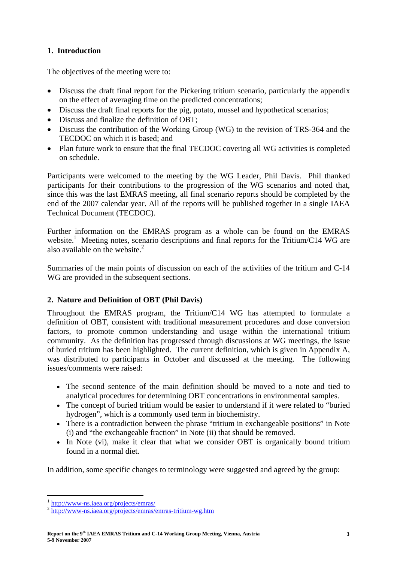# **1. Introduction**

The objectives of the meeting were to:

- Discuss the draft final report for the Pickering tritium scenario, particularly the appendix on the effect of averaging time on the predicted concentrations;
- Discuss the draft final reports for the pig, potato, mussel and hypothetical scenarios;
- Discuss and finalize the definition of OBT:
- Discuss the contribution of the Working Group (WG) to the revision of TRS-364 and the TECDOC on which it is based; and
- Plan future work to ensure that the final TECDOC covering all WG activities is completed on schedule.

Participants were welcomed to the meeting by the WG Leader, Phil Davis. Phil thanked participants for their contributions to the progression of the WG scenarios and noted that, since this was the last EMRAS meeting, all final scenario reports should be completed by the end of the 2007 calendar year. All of the reports will be published together in a single IAEA Technical Document (TECDOC).

Further information on the EMRAS program as a whole can be found on the EMRAS website.<sup>1</sup> Meeting notes, scenario descriptions and final reports for the Tritium/C14 WG are also available on the website. $2$ 

Summaries of the main points of discussion on each of the activities of the tritium and C-14 WG are provided in the subsequent sections.

# **2. Nature and Definition of OBT (Phil Davis)**

Throughout the EMRAS program, the Tritium/C14 WG has attempted to formulate a definition of OBT, consistent with traditional measurement procedures and dose conversion factors, to promote common understanding and usage within the international tritium community. As the definition has progressed through discussions at WG meetings, the issue of buried tritium has been highlighted. The current definition, which is given in Appendix A, was distributed to participants in October and discussed at the meeting. The following issues/comments were raised:

- The second sentence of the main definition should be moved to a note and tied to analytical procedures for determining OBT concentrations in environmental samples.
- The concept of buried tritium would be easier to understand if it were related to "buried hydrogen", which is a commonly used term in biochemistry.
- There is a contradiction between the phrase "tritium in exchangeable positions" in Note (i) and "the exchangeable fraction" in Note (ii) that should be removed.
- In Note (vi), make it clear that what we consider OBT is organically bound tritium found in a normal diet.

In addition, some specific changes to terminology were suggested and agreed by the group:

 $\overline{a}$ 

 $\frac{1}{2}$  http://www-ns.iaea.org/projects/emras/<br> $\frac{1}{2}$  http://www-ns.iaea.org/projects/emras/emras-tritium-wg.htm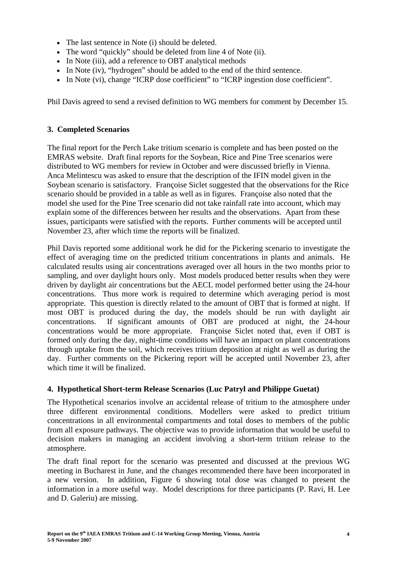- The last sentence in Note (i) should be deleted.
- The word "quickly" should be deleted from line 4 of Note (ii).
- In Note (iii), add a reference to OBT analytical methods
- In Note (iv), "hydrogen" should be added to the end of the third sentence.
- In Note (vi), change "ICRP dose coefficient" to "ICRP ingestion dose coefficient".

Phil Davis agreed to send a revised definition to WG members for comment by December 15.

### **3. Completed Scenarios**

The final report for the Perch Lake tritium scenario is complete and has been posted on the EMRAS website. Draft final reports for the Soybean, Rice and Pine Tree scenarios were distributed to WG members for review in October and were discussed briefly in Vienna. Anca Melintescu was asked to ensure that the description of the IFIN model given in the Soybean scenario is satisfactory. Françoise Siclet suggested that the observations for the Rice scenario should be provided in a table as well as in figures. Françoise also noted that the model she used for the Pine Tree scenario did not take rainfall rate into account, which may explain some of the differences between her results and the observations. Apart from these issues, participants were satisfied with the reports. Further comments will be accepted until November 23, after which time the reports will be finalized.

Phil Davis reported some additional work he did for the Pickering scenario to investigate the effect of averaging time on the predicted tritium concentrations in plants and animals. He calculated results using air concentrations averaged over all hours in the two months prior to sampling, and over daylight hours only. Most models produced better results when they were driven by daylight air concentrations but the AECL model performed better using the 24-hour concentrations. Thus more work is required to determine which averaging period is most appropriate. This question is directly related to the amount of OBT that is formed at night. If most OBT is produced during the day, the models should be run with daylight air concentrations. If significant amounts of OBT are produced at night, the 24-hour concentrations would be more appropriate. Françoise Siclet noted that, even if OBT is formed only during the day, night-time conditions will have an impact on plant concentrations through uptake from the soil, which receives tritium deposition at night as well as during the day. Further comments on the Pickering report will be accepted until November 23, after which time it will be finalized.

# **4. Hypothetical Short-term Release Scenarios (Luc Patryl and Philippe Guetat)**

The Hypothetical scenarios involve an accidental release of tritium to the atmosphere under three different environmental conditions. Modellers were asked to predict tritium concentrations in all environmental compartments and total doses to members of the public from all exposure pathways. The objective was to provide information that would be useful to decision makers in managing an accident involving a short-term tritium release to the atmosphere.

The draft final report for the scenario was presented and discussed at the previous WG meeting in Bucharest in June, and the changes recommended there have been incorporated in a new version. In addition, Figure 6 showing total dose was changed to present the information in a more useful way. Model descriptions for three participants (P. Ravi, H. Lee and D. Galeriu) are missing.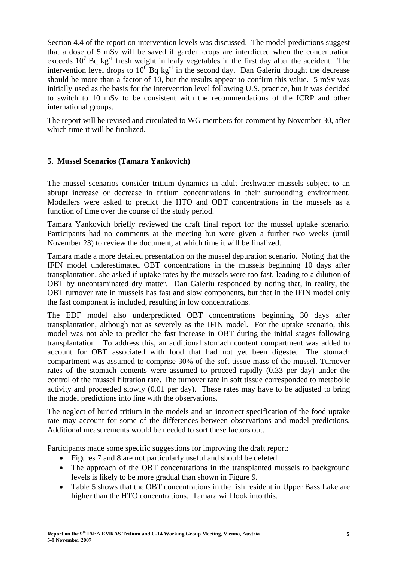Section 4.4 of the report on intervention levels was discussed. The model predictions suggest that a dose of 5 mSv will be saved if garden crops are interdicted when the concentration exceeds  $10^7$  Bq kg<sup>-1</sup> fresh weight in leafy vegetables in the first day after the accident. The intervention level drops to  $10^6$  Bq kg<sup>-1</sup> in the second day. Dan Galeriu thought the decrease should be more than a factor of 10, but the results appear to confirm this value. 5 mSv was initially used as the basis for the intervention level following U.S. practice, but it was decided to switch to 10 mSv to be consistent with the recommendations of the ICRP and other international groups.

The report will be revised and circulated to WG members for comment by November 30, after which time it will be finalized.

# **5. Mussel Scenarios (Tamara Yankovich)**

The mussel scenarios consider tritium dynamics in adult freshwater mussels subject to an abrupt increase or decrease in tritium concentrations in their surrounding environment. Modellers were asked to predict the HTO and OBT concentrations in the mussels as a function of time over the course of the study period.

Tamara Yankovich briefly reviewed the draft final report for the mussel uptake scenario. Participants had no comments at the meeting but were given a further two weeks (until November 23) to review the document, at which time it will be finalized.

Tamara made a more detailed presentation on the mussel depuration scenario. Noting that the IFIN model underestimated OBT concentrations in the mussels beginning 10 days after transplantation, she asked if uptake rates by the mussels were too fast, leading to a dilution of OBT by uncontaminated dry matter. Dan Galeriu responded by noting that, in reality, the OBT turnover rate in mussels has fast and slow components, but that in the IFIN model only the fast component is included, resulting in low concentrations.

The EDF model also underpredicted OBT concentrations beginning 30 days after transplantation, although not as severely as the IFIN model. For the uptake scenario, this model was not able to predict the fast increase in OBT during the initial stages following transplantation. To address this, an additional stomach content compartment was added to account for OBT associated with food that had not yet been digested. The stomach compartment was assumed to comprise 30% of the soft tissue mass of the mussel. Turnover rates of the stomach contents were assumed to proceed rapidly (0.33 per day) under the control of the mussel filtration rate. The turnover rate in soft tissue corresponded to metabolic activity and proceeded slowly (0.01 per day). These rates may have to be adjusted to bring the model predictions into line with the observations.

The neglect of buried tritium in the models and an incorrect specification of the food uptake rate may account for some of the differences between observations and model predictions. Additional measurements would be needed to sort these factors out.

Participants made some specific suggestions for improving the draft report:

- Figures 7 and 8 are not particularly useful and should be deleted.
- The approach of the OBT concentrations in the transplanted mussels to background levels is likely to be more gradual than shown in Figure 9.
- Table 5 shows that the OBT concentrations in the fish resident in Upper Bass Lake are higher than the HTO concentrations. Tamara will look into this.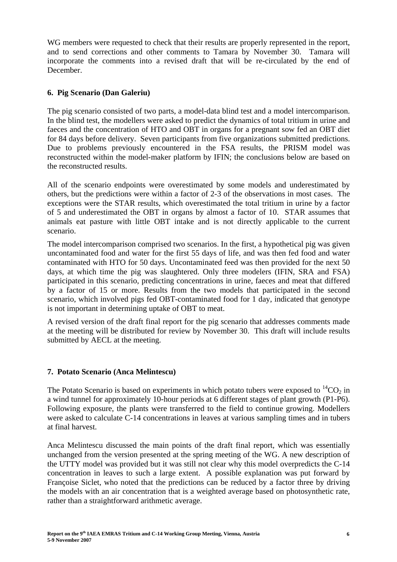WG members were requested to check that their results are properly represented in the report, and to send corrections and other comments to Tamara by November 30. Tamara will incorporate the comments into a revised draft that will be re-circulated by the end of December.

# **6. Pig Scenario (Dan Galeriu)**

The pig scenario consisted of two parts, a model-data blind test and a model intercomparison. In the blind test, the modellers were asked to predict the dynamics of total tritium in urine and faeces and the concentration of HTO and OBT in organs for a pregnant sow fed an OBT diet for 84 days before delivery. Seven participants from five organizations submitted predictions. Due to problems previously encountered in the FSA results, the PRISM model was reconstructed within the model-maker platform by IFIN; the conclusions below are based on the reconstructed results.

All of the scenario endpoints were overestimated by some models and underestimated by others, but the predictions were within a factor of 2-3 of the observations in most cases. The exceptions were the STAR results, which overestimated the total tritium in urine by a factor of 5 and underestimated the OBT in organs by almost a factor of 10. STAR assumes that animals eat pasture with little OBT intake and is not directly applicable to the current scenario.

The model intercomparison comprised two scenarios. In the first, a hypothetical pig was given uncontaminated food and water for the first 55 days of life, and was then fed food and water contaminated with HTO for 50 days. Uncontaminated feed was then provided for the next 50 days, at which time the pig was slaughtered. Only three modelers (IFIN, SRA and FSA) participated in this scenario, predicting concentrations in urine, faeces and meat that differed by a factor of 15 or more. Results from the two models that participated in the second scenario, which involved pigs fed OBT-contaminated food for 1 day, indicated that genotype is not important in determining uptake of OBT to meat.

A revised version of the draft final report for the pig scenario that addresses comments made at the meeting will be distributed for review by November 30. This draft will include results submitted by AECL at the meeting.

# **7. Potato Scenario (Anca Melintescu)**

The Potato Scenario is based on experiments in which potato tubers were exposed to  ${}^{14}CO_2$  in a wind tunnel for approximately 10-hour periods at 6 different stages of plant growth (P1-P6). Following exposure, the plants were transferred to the field to continue growing. Modellers were asked to calculate C-14 concentrations in leaves at various sampling times and in tubers at final harvest.

Anca Melintescu discussed the main points of the draft final report, which was essentially unchanged from the version presented at the spring meeting of the WG. A new description of the UTTY model was provided but it was still not clear why this model overpredicts the C-14 concentration in leaves to such a large extent. A possible explanation was put forward by Françoise Siclet, who noted that the predictions can be reduced by a factor three by driving the models with an air concentration that is a weighted average based on photosynthetic rate, rather than a straightforward arithmetic average.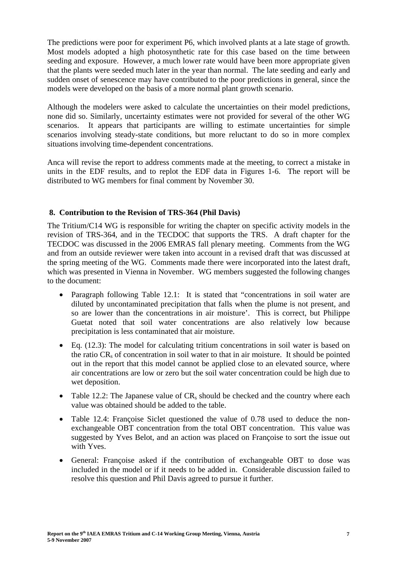The predictions were poor for experiment P6, which involved plants at a late stage of growth. Most models adopted a high photosynthetic rate for this case based on the time between seeding and exposure. However, a much lower rate would have been more appropriate given that the plants were seeded much later in the year than normal. The late seeding and early and sudden onset of senescence may have contributed to the poor predictions in general, since the models were developed on the basis of a more normal plant growth scenario.

Although the modelers were asked to calculate the uncertainties on their model predictions, none did so. Similarly, uncertainty estimates were not provided for several of the other WG scenarios. It appears that participants are willing to estimate uncertainties for simple scenarios involving steady-state conditions, but more reluctant to do so in more complex situations involving time-dependent concentrations.

Anca will revise the report to address comments made at the meeting, to correct a mistake in units in the EDF results, and to replot the EDF data in Figures 1-6. The report will be distributed to WG members for final comment by November 30.

# **8. Contribution to the Revision of TRS-364 (Phil Davis)**

The Tritium/C14 WG is responsible for writing the chapter on specific activity models in the revision of TRS-364, and in the TECDOC that supports the TRS. A draft chapter for the TECDOC was discussed in the 2006 EMRAS fall plenary meeting. Comments from the WG and from an outside reviewer were taken into account in a revised draft that was discussed at the spring meeting of the WG. Comments made there were incorporated into the latest draft, which was presented in Vienna in November. WG members suggested the following changes to the document:

- Paragraph following Table 12.1: It is stated that "concentrations in soil water are diluted by uncontaminated precipitation that falls when the plume is not present, and so are lower than the concentrations in air moisture'. This is correct, but Philippe Guetat noted that soil water concentrations are also relatively low because precipitation is less contaminated that air moisture.
- Eq. (12.3): The model for calculating tritium concentrations in soil water is based on the ratio CRs of concentration in soil water to that in air moisture. It should be pointed out in the report that this model cannot be applied close to an elevated source, where air concentrations are low or zero but the soil water concentration could be high due to wet deposition.
- Table 12.2: The Japanese value of  $CR_s$  should be checked and the country where each value was obtained should be added to the table.
- Table 12.4: Françoise Siclet questioned the value of 0.78 used to deduce the nonexchangeable OBT concentration from the total OBT concentration. This value was suggested by Yves Belot, and an action was placed on Françoise to sort the issue out with Yves.
- General: Françoise asked if the contribution of exchangeable OBT to dose was included in the model or if it needs to be added in. Considerable discussion failed to resolve this question and Phil Davis agreed to pursue it further.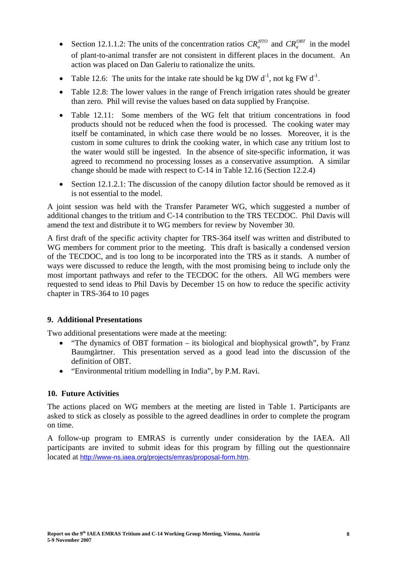- Section 12.1.1.2: The units of the concentration ratios  $CR_a^{HTO}$  and  $CR_a^{OBT}$  in the model of plant-to-animal transfer are not consistent in different places in the document. An action was placed on Dan Galeriu to rationalize the units.
- Table 12.6: The units for the intake rate should be kg DW  $d^{-1}$ , not kg FW  $d^{-1}$ .
- Table 12.8: The lower values in the range of French irrigation rates should be greater than zero. Phil will revise the values based on data supplied by Françoise.
- Table 12.11: Some members of the WG felt that tritium concentrations in food products should not be reduced when the food is processed. The cooking water may itself be contaminated, in which case there would be no losses. Moreover, it is the custom in some cultures to drink the cooking water, in which case any tritium lost to the water would still be ingested. In the absence of site-specific information, it was agreed to recommend no processing losses as a conservative assumption. A similar change should be made with respect to C-14 in Table 12.16 (Section 12.2.4)
- Section 12.1.2.1: The discussion of the canopy dilution factor should be removed as it is not essential to the model.

A joint session was held with the Transfer Parameter WG, which suggested a number of additional changes to the tritium and C-14 contribution to the TRS TECDOC. Phil Davis will amend the text and distribute it to WG members for review by November 30.

A first draft of the specific activity chapter for TRS-364 itself was written and distributed to WG members for comment prior to the meeting. This draft is basically a condensed version of the TECDOC, and is too long to be incorporated into the TRS as it stands. A number of ways were discussed to reduce the length, with the most promising being to include only the most important pathways and refer to the TECDOC for the others. All WG members were requested to send ideas to Phil Davis by December 15 on how to reduce the specific activity chapter in TRS-364 to 10 pages

# **9. Additional Presentations**

Two additional presentations were made at the meeting:

- "The dynamics of OBT formation its biological and biophysical growth", by Franz Baumgärtner. This presentation served as a good lead into the discussion of the definition of OBT.
- "Environmental tritium modelling in India", by P.M. Ravi.

# **10. Future Activities**

The actions placed on WG members at the meeting are listed in Table 1. Participants are asked to stick as closely as possible to the agreed deadlines in order to complete the program on time.

A follow-up program to EMRAS is currently under consideration by the IAEA. All participants are invited to submit ideas for this program by filling out the questionnaire located at http://www-ns.iaea.org/projects/emras/proposal-form.htm.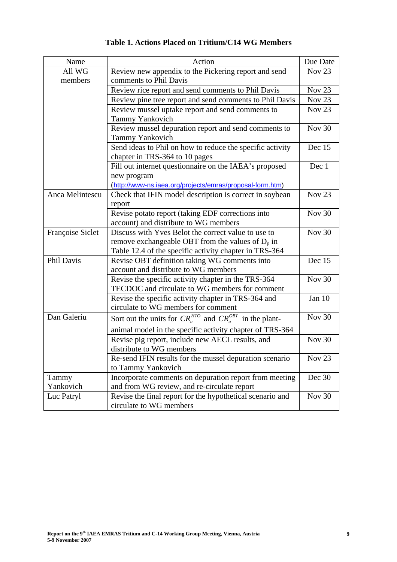| Name             | Action                                                             | Due Date          |
|------------------|--------------------------------------------------------------------|-------------------|
| All WG           | Review new appendix to the Pickering report and send               | <b>Nov 23</b>     |
| members          | comments to Phil Davis                                             |                   |
|                  | Review rice report and send comments to Phil Davis                 | Nov <sub>23</sub> |
|                  | Review pine tree report and send comments to Phil Davis            | Nov <sub>23</sub> |
|                  | Review mussel uptake report and send comments to                   | Nov <sub>23</sub> |
|                  | <b>Tammy Yankovich</b>                                             |                   |
|                  | Review mussel depuration report and send comments to               | Nov $30$          |
|                  | <b>Tammy Yankovich</b>                                             |                   |
|                  | Send ideas to Phil on how to reduce the specific activity          | Dec 15            |
|                  | chapter in TRS-364 to 10 pages                                     |                   |
|                  | Fill out internet questionnaire on the IAEA's proposed             | Dec 1             |
|                  | new program                                                        |                   |
|                  | (http://www-ns.iaea.org/projects/emras/proposal-form.htm)          |                   |
| Anca Melintescu  | Check that IFIN model description is correct in soybean            | Nov <sub>23</sub> |
|                  | report                                                             |                   |
|                  | Revise potato report (taking EDF corrections into                  | Nov 30            |
|                  | account) and distribute to WG members                              |                   |
| Françoise Siclet | Discuss with Yves Belot the correct value to use to                | <b>Nov 30</b>     |
|                  | remove exchangeable OBT from the values of $D_p$ in                |                   |
|                  | Table 12.4 of the specific activity chapter in TRS-364             |                   |
| Phil Davis       | Revise OBT definition taking WG comments into                      | Dec 15            |
|                  | account and distribute to WG members                               |                   |
|                  | Revise the specific activity chapter in the TRS-364                | <b>Nov 30</b>     |
|                  | TECDOC and circulate to WG members for comment                     |                   |
|                  | Revise the specific activity chapter in TRS-364 and                | Jan 10            |
|                  | circulate to WG members for comment                                |                   |
| Dan Galeriu      | Sort out the units for $CR_a^{HTO}$ and $CR_a^{OBT}$ in the plant- | <b>Nov 30</b>     |
|                  | animal model in the specific activity chapter of TRS-364           |                   |
|                  | Revise pig report, include new AECL results, and                   | <b>Nov 30</b>     |
|                  | distribute to WG members                                           |                   |
|                  | Re-send IFIN results for the mussel depuration scenario            | Nov <sub>23</sub> |
|                  | to Tammy Yankovich                                                 |                   |
| Tammy            | Incorporate comments on depuration report from meeting             | Dec 30            |
| Yankovich        | and from WG review, and re-circulate report                        |                   |
| Luc Patryl       | Revise the final report for the hypothetical scenario and          | Nov 30            |
|                  | circulate to WG members                                            |                   |

# **Table 1. Actions Placed on Tritium/C14 WG Members**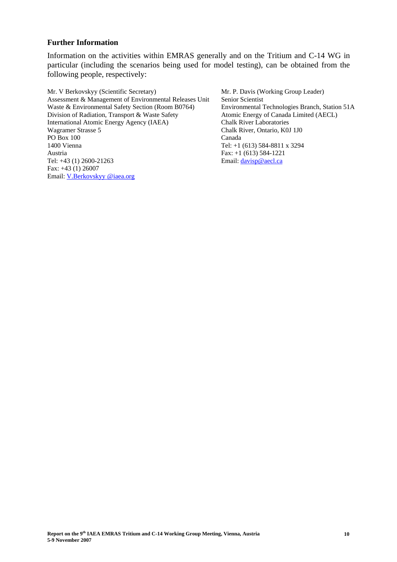#### **Further Information**

Information on the activities within EMRAS generally and on the Tritium and C-14 WG in particular (including the scenarios being used for model testing), can be obtained from the following people, respectively:

Mr. V Berkovskyy (Scientific Secretary) Assessment & Management of Environmental Releases Unit Waste & Environmental Safety Section (Room B0764) Division of Radiation, Transport & Waste Safety International Atomic Energy Agency (IAEA) Wagramer Strasse 5 PO Box 100 1400 Vienna Austria Tel: +43 (1) 2600-21263 Fax: +43 (1) 26007 Email: V.Berkovskyy @iaea.org

Mr. P. Davis (Working Group Leader) Senior Scientist Environmental Technologies Branch, Station 51A Atomic Energy of Canada Limited (AECL) Chalk River Laboratories Chalk River, Ontario, K0J 1J0 Canada Tel: +1 (613) 584-8811 x 3294 Fax: +1 (613) 584-1221 Email: davisp@aecl.ca